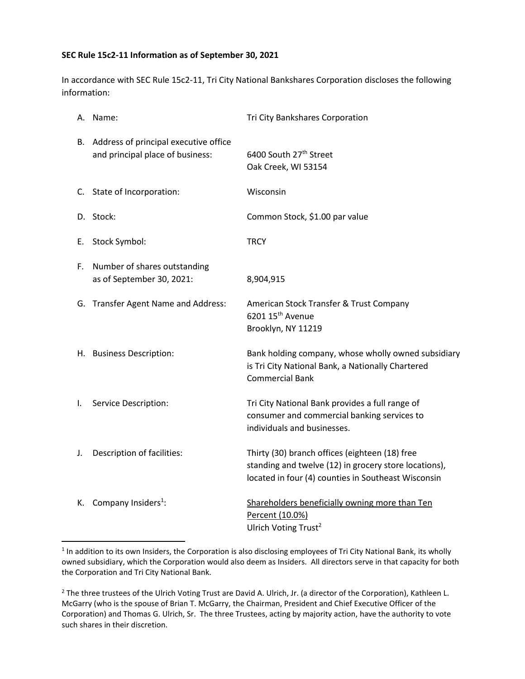## **SEC Rule 15c2-11 Information as of September 30, 2021**

In accordance with SEC Rule 15c2-11, Tri City National Bankshares Corporation discloses the following information:

|    | A. Name:                                                                     | Tri City Bankshares Corporation                                                                                                                                |
|----|------------------------------------------------------------------------------|----------------------------------------------------------------------------------------------------------------------------------------------------------------|
|    | B. Address of principal executive office<br>and principal place of business: | 6400 South 27 <sup>th</sup> Street<br>Oak Creek, WI 53154                                                                                                      |
|    | C. State of Incorporation:                                                   | Wisconsin                                                                                                                                                      |
|    | D. Stock:                                                                    | Common Stock, \$1.00 par value                                                                                                                                 |
| Е. | Stock Symbol:                                                                | <b>TRCY</b>                                                                                                                                                    |
| F. | Number of shares outstanding<br>as of September 30, 2021:                    | 8,904,915                                                                                                                                                      |
|    | G. Transfer Agent Name and Address:                                          | American Stock Transfer & Trust Company<br>6201 15 <sup>th</sup> Avenue<br>Brooklyn, NY 11219                                                                  |
|    | H. Business Description:                                                     | Bank holding company, whose wholly owned subsidiary<br>is Tri City National Bank, a Nationally Chartered<br><b>Commercial Bank</b>                             |
| I. | Service Description:                                                         | Tri City National Bank provides a full range of<br>consumer and commercial banking services to<br>individuals and businesses.                                  |
| J. | Description of facilities:                                                   | Thirty (30) branch offices (eighteen (18) free<br>standing and twelve (12) in grocery store locations),<br>located in four (4) counties in Southeast Wisconsin |
|    | K. Company Insiders <sup>1</sup> :                                           | Shareholders beneficially owning more than Ten<br>Percent (10.0%)<br>Ulrich Voting Trust <sup>2</sup>                                                          |

 $1$ In addition to its own Insiders, the Corporation is also disclosing employees of Tri City National Bank, its wholly owned subsidiary, which the Corporation would also deem as Insiders. All directors serve in that capacity for both the Corporation and Tri City National Bank.

<sup>&</sup>lt;sup>2</sup> The three trustees of the Ulrich Voting Trust are David A. Ulrich, Jr. (a director of the Corporation), Kathleen L. McGarry (who is the spouse of Brian T. McGarry, the Chairman, President and Chief Executive Officer of the Corporation) and Thomas G. Ulrich, Sr. The three Trustees, acting by majority action, have the authority to vote such shares in their discretion.